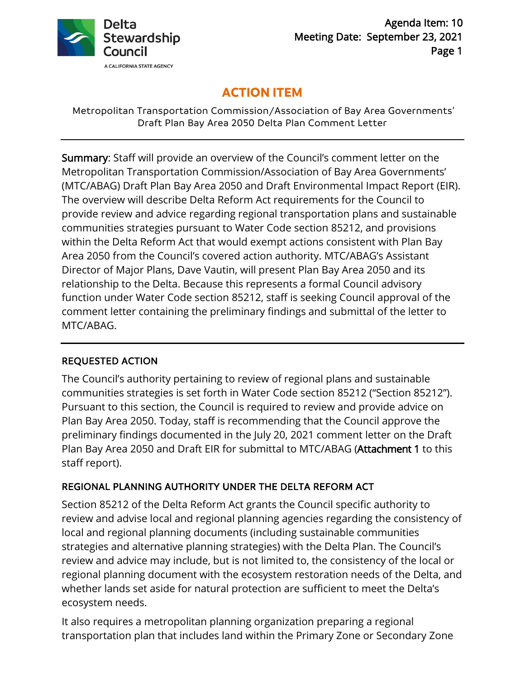

# **ACTION ITEM**

Metropolitan Transportation Commission/Association of Bay Area Governments' Draft Plan Bay Area 2050 Delta Plan Comment Letter

Summary: Staff will provide an overview of the Council's comment letter on the Metropolitan Transportation Commission/Association of Bay Area Governments' (MTC/ABAG) Draft Plan Bay Area 2050 and Draft Environmental Impact Report (EIR). The overview will describe Delta Reform Act requirements for the Council to provide review and advice regarding regional transportation plans and sustainable communities strategies pursuant to Water Code section 85212, and provisions within the Delta Reform Act that would exempt actions consistent with Plan Bay Area 2050 from the Council's covered action authority. MTC/ABAG's Assistant Director of Major Plans, Dave Vautin, will present Plan Bay Area 2050 and its relationship to the Delta. Because this represents a formal Council advisory function under Water Code section 85212, staff is seeking Council approval of the comment letter containing the preliminary findings and submittal of the letter to MTC/ABAG.

# REQUESTED ACTION

The Council's authority pertaining to review of regional plans and sustainable communities strategies is set forth in Water Code section 85212 ("Section 85212"). Pursuant to this section, the Council is required to review and provide advice on Plan Bay Area 2050. Today, staff is recommending that the Council approve the preliminary findings documented in the July 20, 2021 comment letter on the Draft Plan Bay Area 2050 and Draft EIR for submittal to MTC/ABAG (Attachment 1 to this staff report).

## REGIONAL PLANNING AUTHORITY UNDER THE DELTA REFORM ACT

Section 85212 of the Delta Reform Act grants the Council specific authority to review and advise local and regional planning agencies regarding the consistency of local and regional planning documents (including sustainable communities strategies and alternative planning strategies) with the Delta Plan. The Council's review and advice may include, but is not limited to, the consistency of the local or regional planning document with the ecosystem restoration needs of the Delta, and whether lands set aside for natural protection are sufficient to meet the Delta's ecosystem needs.

It also requires a metropolitan planning organization preparing a regional transportation plan that includes land within the Primary Zone or Secondary Zone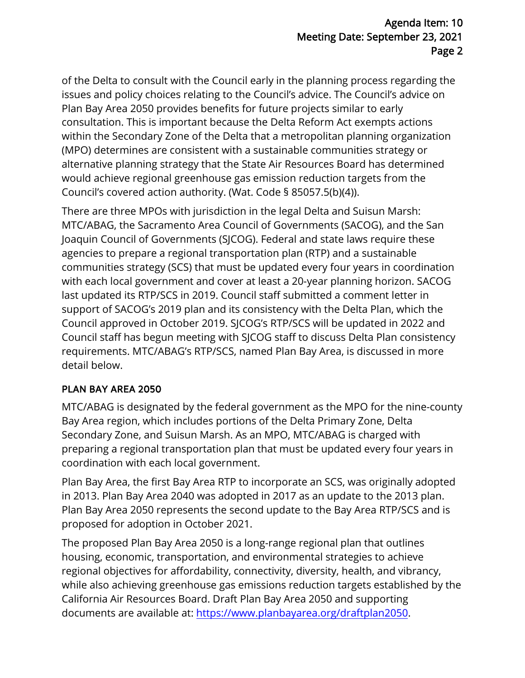of the Delta to consult with the Council early in the planning process regarding the issues and policy choices relating to the Council's advice. The Council's advice on Plan Bay Area 2050 provides benefits for future projects similar to early consultation. This is important because the Delta Reform Act exempts actions within the Secondary Zone of the Delta that a metropolitan planning organization (MPO) determines are consistent with a sustainable communities strategy or alternative planning strategy that the State Air Resources Board has determined would achieve regional greenhouse gas emission reduction targets from the Council's covered action authority. (Wat. Code § 85057.5(b)(4)).

There are three MPOs with jurisdiction in the legal Delta and Suisun Marsh: MTC/ABAG, the Sacramento Area Council of Governments (SACOG), and the San Joaquin Council of Governments (SJCOG). Federal and state laws require these agencies to prepare a regional transportation plan (RTP) and a sustainable communities strategy (SCS) that must be updated every four years in coordination with each local government and cover at least a 20-year planning horizon. SACOG last updated its RTP/SCS in 2019. Council staff submitted a comment letter in support of SACOG's 2019 plan and its consistency with the Delta Plan, which the Council approved in October 2019. SJCOG's RTP/SCS will be updated in 2022 and Council staff has begun meeting with SJCOG staff to discuss Delta Plan consistency requirements. MTC/ABAG's RTP/SCS, named Plan Bay Area, is discussed in more detail below.

## PLAN BAY AREA 2050

MTC/ABAG is designated by the federal government as the MPO for the nine-county Bay Area region, which includes portions of the Delta Primary Zone, Delta Secondary Zone, and Suisun Marsh. As an MPO, MTC/ABAG is charged with preparing a regional transportation plan that must be updated every four years in coordination with each local government.

Plan Bay Area, the first Bay Area RTP to incorporate an SCS, was originally adopted in 2013. Plan Bay Area 2040 was adopted in 2017 as an update to the 2013 plan. Plan Bay Area 2050 represents the second update to the Bay Area RTP/SCS and is proposed for adoption in October 2021.

The proposed Plan Bay Area 2050 is a long-range regional plan that outlines housing, economic, transportation, and environmental strategies to achieve regional objectives for affordability, connectivity, diversity, health, and vibrancy, while also achieving greenhouse gas emissions reduction targets established by the California Air Resources Board. Draft Plan Bay Area 2050 and supporting documents are available at: [https://www.planbayarea.org/draftplan2050.](https://www.planbayarea.org/draftplan2050)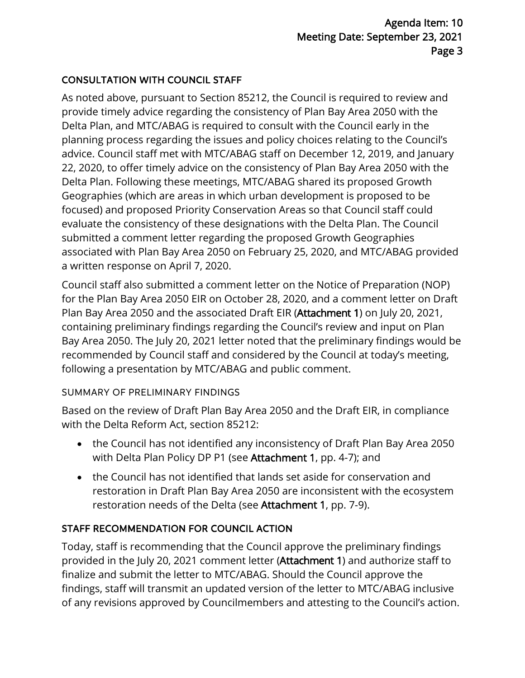# CONSULTATION WITH COUNCIL STAFF

As noted above, pursuant to Section 85212, the Council is required to review and provide timely advice regarding the consistency of Plan Bay Area 2050 with the Delta Plan, and MTC/ABAG is required to consult with the Council early in the planning process regarding the issues and policy choices relating to the Council's advice. Council staff met with MTC/ABAG staff on December 12, 2019, and January 22, 2020, to offer timely advice on the consistency of Plan Bay Area 2050 with the Delta Plan. Following these meetings, MTC/ABAG shared its proposed Growth Geographies (which are areas in which urban development is proposed to be focused) and proposed Priority Conservation Areas so that Council staff could evaluate the consistency of these designations with the Delta Plan. The Council submitted a comment letter regarding the proposed Growth Geographies associated with Plan Bay Area 2050 on February 25, 2020, and MTC/ABAG provided a written response on April 7, 2020.

Council staff also submitted a comment letter on the Notice of Preparation (NOP) for the Plan Bay Area 2050 EIR on October 28, 2020, and a comment letter on Draft Plan Bay Area 2050 and the associated Draft EIR (Attachment 1) on July 20, 2021, containing preliminary findings regarding the Council's review and input on Plan Bay Area 2050. The July 20, 2021 letter noted that the preliminary findings would be recommended by Council staff and considered by the Council at today's meeting, following a presentation by MTC/ABAG and public comment.

## SUMMARY OF PRELIMINARY FINDINGS

Based on the review of Draft Plan Bay Area 2050 and the Draft EIR, in compliance with the Delta Reform Act, section 85212:

- the Council has not identified any inconsistency of Draft Plan Bay Area 2050 with Delta Plan Policy DP P1 (see Attachment 1, pp. 4-7); and
- the Council has not identified that lands set aside for conservation and restoration in Draft Plan Bay Area 2050 are inconsistent with the ecosystem restoration needs of the Delta (see Attachment 1, pp. 7-9).

# STAFF RECOMMENDATION FOR COUNCIL ACTION

Today, staff is recommending that the Council approve the preliminary findings provided in the July 20, 2021 comment letter (Attachment 1) and authorize staff to finalize and submit the letter to MTC/ABAG. Should the Council approve the findings, staff will transmit an updated version of the letter to MTC/ABAG inclusive of any revisions approved by Councilmembers and attesting to the Council's action.